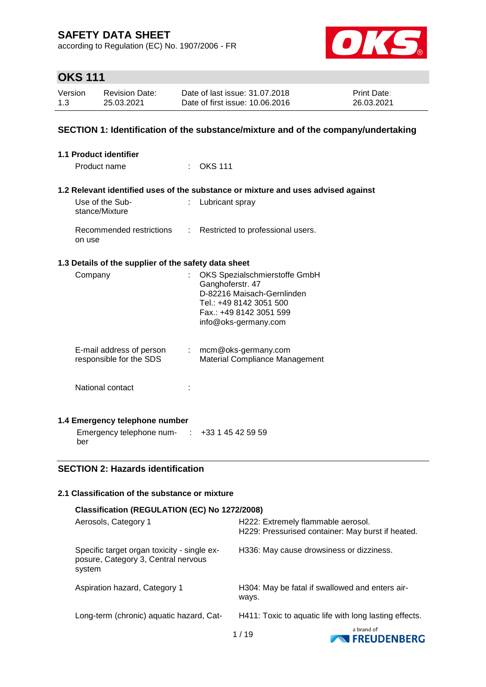according to Regulation (EC) No. 1907/2006 - FR



# **OKS 111**

| Version | <b>Revision Date:</b> | Date of last issue: 31.07.2018  | <b>Print Date:</b> |
|---------|-----------------------|---------------------------------|--------------------|
| 1.3     | 25.03.2021            | Date of first issue: 10.06.2016 | 26.03.2021         |

### **SECTION 1: Identification of the substance/mixture and of the company/undertaking**

| 1.1 Product identifier                                         |                |                                                                                                                                                               |
|----------------------------------------------------------------|----------------|---------------------------------------------------------------------------------------------------------------------------------------------------------------|
| Product name                                                   |                | <b>OKS 111</b>                                                                                                                                                |
|                                                                |                | 1.2 Relevant identified uses of the substance or mixture and uses advised against                                                                             |
| Use of the Sub-<br>stance/Mixture                              |                | Lubricant spray                                                                                                                                               |
| Recommended restrictions<br>on use                             | $\mathbb{R}^n$ | Restricted to professional users.                                                                                                                             |
| 1.3 Details of the supplier of the safety data sheet           |                |                                                                                                                                                               |
| Company                                                        |                | OKS Spezialschmierstoffe GmbH<br>Ganghoferstr. 47<br>D-82216 Maisach-Gernlinden<br>Tel.: +49 8142 3051 500<br>Fax.: +49 8142 3051 599<br>info@oks-germany.com |
| E-mail address of person<br>responsible for the SDS            |                | $:$ mcm@oks-germany.com<br>Material Compliance Management                                                                                                     |
| National contact                                               |                |                                                                                                                                                               |
| 1.4 Emergency telephone number                                 |                |                                                                                                                                                               |
| Emergency telephone num- $\therefore$ +33 1 45 42 59 59<br>ber |                |                                                                                                                                                               |

## **SECTION 2: Hazards identification**

### **2.1 Classification of the substance or mixture**

| Classification (REGULATION (EC) No 1272/2008)                                                |                                                                                         |                                     |
|----------------------------------------------------------------------------------------------|-----------------------------------------------------------------------------------------|-------------------------------------|
| Aerosols, Category 1                                                                         | H222: Extremely flammable aerosol.<br>H229: Pressurised container: May burst if heated. |                                     |
| Specific target organ toxicity - single ex-<br>posure, Category 3, Central nervous<br>system | H336: May cause drowsiness or dizziness.                                                |                                     |
| Aspiration hazard, Category 1                                                                | H304: May be fatal if swallowed and enters air-<br>ways.                                |                                     |
| Long-term (chronic) aquatic hazard, Cat-                                                     | H411: Toxic to aquatic life with long lasting effects.                                  |                                     |
|                                                                                              | 1/19                                                                                    | a brand of<br><b>NO FREUDENBERG</b> |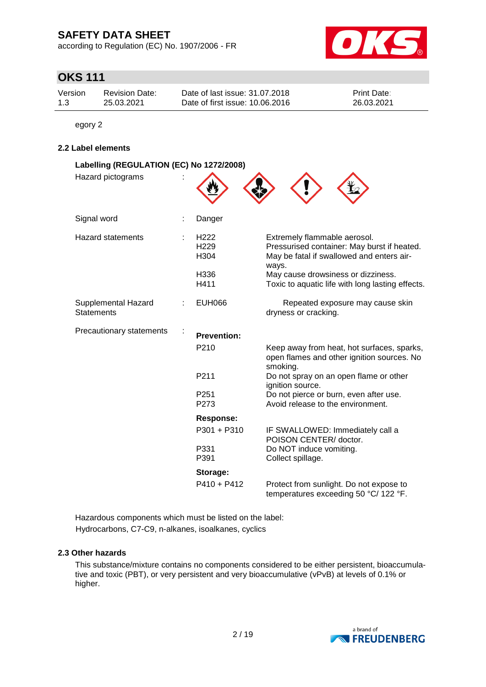according to Regulation (EC) No. 1907/2006 - FR



## **OKS 111**

| Version | <b>Revision Date:</b> | Date of last issue: 31.07.2018  | <b>Print Date:</b> |
|---------|-----------------------|---------------------------------|--------------------|
| 1.3     | 25.03.2021            | Date of first issue: 10.06.2016 | 26.03.2021         |

egory 2

### **2.2 Label elements**

| Labelling (REGULATION (EC) No 1272/2008)<br>Hazard pictograms |                                                              |                                                                                                                                                                                                                             |
|---------------------------------------------------------------|--------------------------------------------------------------|-----------------------------------------------------------------------------------------------------------------------------------------------------------------------------------------------------------------------------|
| Signal word                                                   | Danger                                                       |                                                                                                                                                                                                                             |
| <b>Hazard statements</b>                                      | H <sub>222</sub><br>H <sub>229</sub><br>H304<br>H336<br>H411 | Extremely flammable aerosol.<br>Pressurised container: May burst if heated.<br>May be fatal if swallowed and enters air-<br>ways.<br>May cause drowsiness or dizziness.<br>Toxic to aquatic life with long lasting effects. |
| Supplemental Hazard<br><b>Statements</b>                      | <b>EUH066</b>                                                | Repeated exposure may cause skin<br>dryness or cracking.                                                                                                                                                                    |
| Precautionary statements                                      | <b>Prevention:</b><br>P210                                   | Keep away from heat, hot surfaces, sparks,<br>open flames and other ignition sources. No                                                                                                                                    |
|                                                               | P211                                                         | smoking.<br>Do not spray on an open flame or other<br>ignition source.                                                                                                                                                      |
|                                                               | P <sub>251</sub><br>P273                                     | Do not pierce or burn, even after use.<br>Avoid release to the environment.                                                                                                                                                 |
|                                                               | <b>Response:</b>                                             |                                                                                                                                                                                                                             |
|                                                               | $P301 + P310$                                                | IF SWALLOWED: Immediately call a<br>POISON CENTER/ doctor.                                                                                                                                                                  |
|                                                               | P331<br>P391                                                 | Do NOT induce vomiting.<br>Collect spillage.                                                                                                                                                                                |
|                                                               | Storage:                                                     |                                                                                                                                                                                                                             |
|                                                               | $P410 + P412$                                                | Protect from sunlight. Do not expose to<br>temperatures exceeding 50 °C/ 122 °F.                                                                                                                                            |

Hazardous components which must be listed on the label: Hydrocarbons, C7-C9, n-alkanes, isoalkanes, cyclics

### **2.3 Other hazards**

This substance/mixture contains no components considered to be either persistent, bioaccumulative and toxic (PBT), or very persistent and very bioaccumulative (vPvB) at levels of 0.1% or higher.

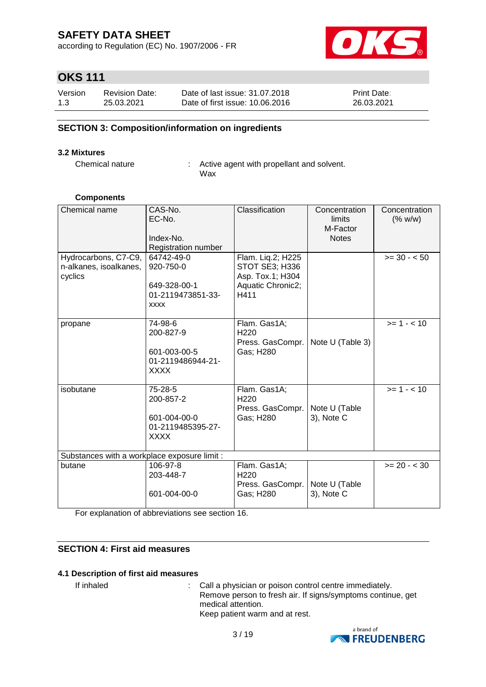according to Regulation (EC) No. 1907/2006 - FR



## **OKS 111**

| Version | <b>Revision Date:</b> | Date of last issue: 31.07.2018  | <b>Print Date:</b> |
|---------|-----------------------|---------------------------------|--------------------|
| 1.3     | 25.03.2021            | Date of first issue: 10.06.2016 | 26.03.2021         |

### **SECTION 3: Composition/information on ingredients**

#### **3.2 Mixtures**

Chemical nature : Active agent with propellant and solvent. Wax

#### **Components**

| Chemical name                                             | CAS-No.<br>EC-No.<br>Index-No.<br>Registration number                       | Classification                                                                              | Concentration<br>limits<br>M-Factor<br><b>Notes</b> | Concentration<br>(% w/w) |
|-----------------------------------------------------------|-----------------------------------------------------------------------------|---------------------------------------------------------------------------------------------|-----------------------------------------------------|--------------------------|
| Hydrocarbons, C7-C9,<br>n-alkanes, isoalkanes,<br>cyclics | 64742-49-0<br>920-750-0<br>649-328-00-1<br>01-2119473851-33-<br><b>XXXX</b> | Flam. Liq.2; H225<br><b>STOT SE3; H336</b><br>Asp. Tox.1; H304<br>Aquatic Chronic2;<br>H411 |                                                     | $>= 30 - 50$             |
| propane                                                   | 74-98-6<br>200-827-9<br>601-003-00-5<br>01-2119486944-21-<br><b>XXXX</b>    | Flam. Gas1A;<br>H220<br>Press. GasCompr.<br>Gas; H280                                       | Note U (Table 3)                                    | $>= 1 - 10$              |
| isobutane                                                 | 75-28-5<br>200-857-2<br>601-004-00-0<br>01-2119485395-27-<br><b>XXXX</b>    | Flam. Gas1A;<br>H <sub>220</sub><br>Press. GasCompr.<br>Gas; H280                           | Note U (Table<br>3), Note C                         | $>= 1 - 10$              |
| Substances with a workplace exposure limit :              |                                                                             |                                                                                             |                                                     |                          |
| butane                                                    | 106-97-8<br>203-448-7<br>601-004-00-0                                       | Flam. Gas1A;<br>H <sub>220</sub><br>Press. GasCompr.<br>Gas; H280                           | Note U (Table<br>3), Note C                         | $>= 20 - < 30$           |
|                                                           |                                                                             |                                                                                             |                                                     |                          |

For explanation of abbreviations see section 16.

## **SECTION 4: First aid measures**

### **4.1 Description of first aid measures**

If inhaled  $\blacksquare$ : Call a physician or poison control centre immediately. Remove person to fresh air. If signs/symptoms continue, get medical attention. Keep patient warm and at rest.

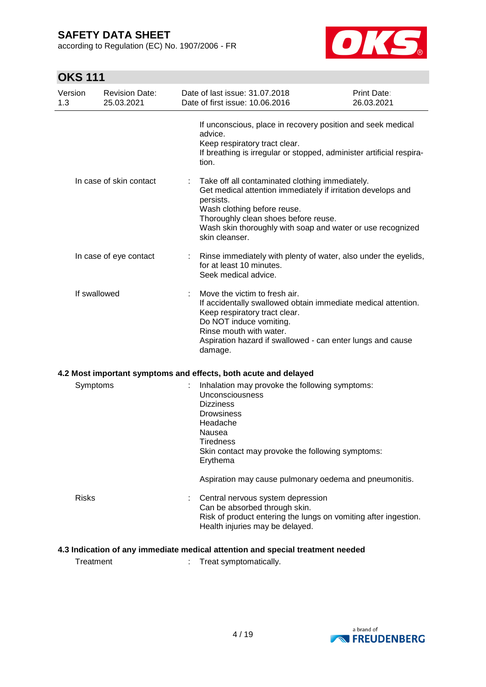according to Regulation (EC) No. 1907/2006 - FR



# **OKS 111**

| Version<br>1.3 | <b>Revision Date:</b><br>25.03.2021 | Date of last issue: 31.07.2018<br>Date of first issue: 10.06.2016                                                                                                                                                                                                                   | <b>Print Date:</b><br>26.03.2021 |
|----------------|-------------------------------------|-------------------------------------------------------------------------------------------------------------------------------------------------------------------------------------------------------------------------------------------------------------------------------------|----------------------------------|
|                |                                     | If unconscious, place in recovery position and seek medical<br>advice.<br>Keep respiratory tract clear.<br>If breathing is irregular or stopped, administer artificial respira-<br>tion.                                                                                            |                                  |
|                | In case of skin contact             | Take off all contaminated clothing immediately.<br>Get medical attention immediately if irritation develops and<br>persists.<br>Wash clothing before reuse.<br>Thoroughly clean shoes before reuse.<br>Wash skin thoroughly with soap and water or use recognized<br>skin cleanser. |                                  |
|                | In case of eye contact              | Rinse immediately with plenty of water, also under the eyelids,<br>for at least 10 minutes.<br>Seek medical advice.                                                                                                                                                                 |                                  |
|                | If swallowed                        | Move the victim to fresh air.<br>If accidentally swallowed obtain immediate medical attention.<br>Keep respiratory tract clear.<br>Do NOT induce vomiting.<br>Rinse mouth with water.<br>Aspiration hazard if swallowed - can enter lungs and cause<br>damage.                      |                                  |
|                |                                     | 4.2 Most important symptoms and effects, both acute and delayed                                                                                                                                                                                                                     |                                  |
|                | Symptoms                            | Inhalation may provoke the following symptoms:<br>Unconsciousness<br><b>Dizziness</b><br><b>Drowsiness</b><br>Headache<br>Nausea<br><b>Tiredness</b><br>Skin contact may provoke the following symptoms:<br>Erythema                                                                |                                  |
|                |                                     | Aspiration may cause pulmonary oedema and pneumonitis.                                                                                                                                                                                                                              |                                  |
| <b>Risks</b>   |                                     | Central nervous system depression<br>Can be absorbed through skin.<br>Risk of product entering the lungs on vomiting after ingestion.<br>Health injuries may be delayed.                                                                                                            |                                  |

### **4.3 Indication of any immediate medical attention and special treatment needed**

Treatment : Treat symptomatically.

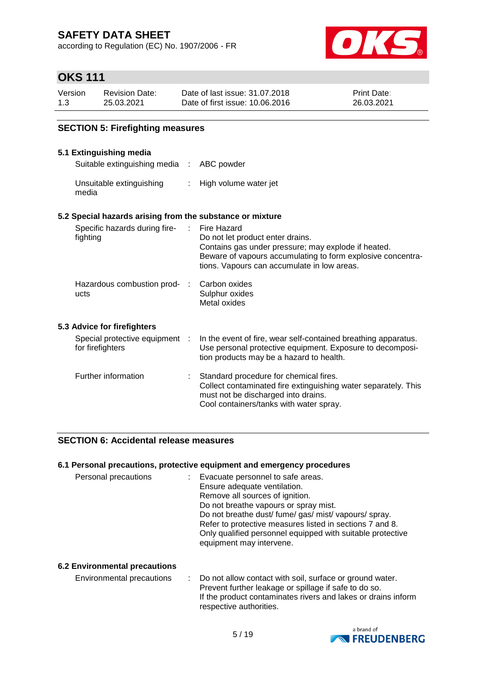according to Regulation (EC) No. 1907/2006 - FR



## **OKS 111**

| Version | Revision Date: | Date of last issue: 31,07,2018  | <b>Print Date:</b> |
|---------|----------------|---------------------------------|--------------------|
| 1.3     | 25.03.2021     | Date of first issue: 10.06.2016 | 26.03.2021         |

### **SECTION 5: Firefighting measures**

### **5.1 Extinguishing media**

Suitable extinguishing media : ABC powder

| Unsuitable extinguishing | High volume water jet |
|--------------------------|-----------------------|
| media                    |                       |

#### **5.2 Special hazards arising from the substance or mixture**

| Specific hazards during fire-<br>fighting          | Fire Hazard<br>Do not let product enter drains.<br>Contains gas under pressure; may explode if heated.<br>Beware of vapours accumulating to form explosive concentra-<br>tions. Vapours can accumulate in low areas. |
|----------------------------------------------------|----------------------------------------------------------------------------------------------------------------------------------------------------------------------------------------------------------------------|
| Hazardous combustion prod-<br>ucts                 | Carbon oxides<br>Sulphur oxides<br>Metal oxides                                                                                                                                                                      |
| 5.3 Advice for firefighters                        |                                                                                                                                                                                                                      |
| Special protective equipment :<br>for firefighters | In the event of fire, wear self-contained breathing apparatus.<br>Use personal protective equipment. Exposure to decomposi-<br>tion products may be a hazard to health.                                              |
| Further information                                | Standard procedure for chemical fires.<br>Collect contaminated fire extinguishing water separately. This<br>must not be discharged into drains.<br>Cool containers/tanks with water spray.                           |

### **SECTION 6: Accidental release measures**

#### **6.1 Personal precautions, protective equipment and emergency procedures**

| Personal precautions | : Evacuate personnel to safe areas.<br>Ensure adequate ventilation.<br>Remove all sources of ignition.<br>Do not breathe vapours or spray mist.<br>Do not breathe dust/fume/gas/mist/vapours/spray.<br>Refer to protective measures listed in sections 7 and 8.<br>Only qualified personnel equipped with suitable protective |
|----------------------|-------------------------------------------------------------------------------------------------------------------------------------------------------------------------------------------------------------------------------------------------------------------------------------------------------------------------------|
|                      | equipment may intervene.                                                                                                                                                                                                                                                                                                      |

### **6.2 Environmental precautions**

Environmental precautions : Do not allow contact with soil, surface or ground water. Prevent further leakage or spillage if safe to do so. If the product contaminates rivers and lakes or drains inform respective authorities.

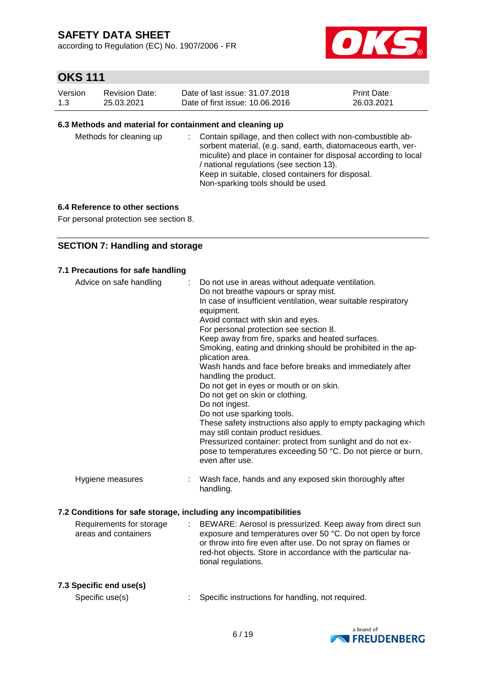according to Regulation (EC) No. 1907/2006 - FR



## **OKS 111**

| Version | <b>Revision Date:</b> | Date of last issue: 31.07.2018  | <b>Print Date:</b> |
|---------|-----------------------|---------------------------------|--------------------|
| 1.3     | 25.03.2021            | Date of first issue: 10.06.2016 | 26.03.2021         |

#### **6.3 Methods and material for containment and cleaning up**

| Methods for cleaning up |  | : Contain spillage, and then collect with non-combustible ab-<br>sorbent material, (e.g. sand, earth, diatomaceous earth, ver-<br>miculite) and place in container for disposal according to local<br>/ national regulations (see section 13).<br>Keep in suitable, closed containers for disposal.<br>Non-sparking tools should be used. |
|-------------------------|--|-------------------------------------------------------------------------------------------------------------------------------------------------------------------------------------------------------------------------------------------------------------------------------------------------------------------------------------------|
|-------------------------|--|-------------------------------------------------------------------------------------------------------------------------------------------------------------------------------------------------------------------------------------------------------------------------------------------------------------------------------------------|

#### **6.4 Reference to other sections**

For personal protection see section 8.

### **SECTION 7: Handling and storage**

#### **7.1 Precautions for safe handling**

| Advice on safe handling                          |   | Do not use in areas without adequate ventilation.<br>Do not breathe vapours or spray mist.<br>In case of insufficient ventilation, wear suitable respiratory<br>equipment.<br>Avoid contact with skin and eyes.<br>For personal protection see section 8.<br>Keep away from fire, sparks and heated surfaces.<br>Smoking, eating and drinking should be prohibited in the ap-<br>plication area.<br>Wash hands and face before breaks and immediately after<br>handling the product.<br>Do not get in eyes or mouth or on skin.<br>Do not get on skin or clothing.<br>Do not ingest.<br>Do not use sparking tools.<br>These safety instructions also apply to empty packaging which<br>may still contain product residues.<br>Pressurized container: protect from sunlight and do not ex-<br>pose to temperatures exceeding 50 °C. Do not pierce or burn,<br>even after use. |
|--------------------------------------------------|---|------------------------------------------------------------------------------------------------------------------------------------------------------------------------------------------------------------------------------------------------------------------------------------------------------------------------------------------------------------------------------------------------------------------------------------------------------------------------------------------------------------------------------------------------------------------------------------------------------------------------------------------------------------------------------------------------------------------------------------------------------------------------------------------------------------------------------------------------------------------------------|
| Hygiene measures                                 |   | Wash face, hands and any exposed skin thoroughly after<br>handling.                                                                                                                                                                                                                                                                                                                                                                                                                                                                                                                                                                                                                                                                                                                                                                                                          |
|                                                  |   | 7.2 Conditions for safe storage, including any incompatibilities                                                                                                                                                                                                                                                                                                                                                                                                                                                                                                                                                                                                                                                                                                                                                                                                             |
| Requirements for storage<br>areas and containers | ÷ | BEWARE: Aerosol is pressurized. Keep away from direct sun<br>exposure and temperatures over 50 °C. Do not open by force<br>or throw into fire even after use. Do not spray on flames or<br>red-hot objects. Store in accordance with the particular na-<br>tional regulations.                                                                                                                                                                                                                                                                                                                                                                                                                                                                                                                                                                                               |

### **7.3 Specific end use(s)**

Specific use(s) : Specific instructions for handling, not required.

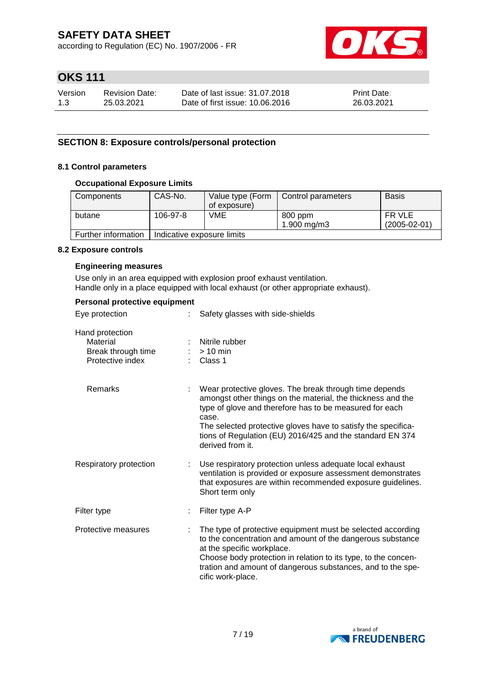according to Regulation (EC) No. 1907/2006 - FR



## **OKS 111**

| Version | <b>Revision Date:</b> | Date of last issue: 31.07.2018  | <b>Print Date:</b> |
|---------|-----------------------|---------------------------------|--------------------|
| 1.3     | 25.03.2021            | Date of first issue: 10.06.2016 | 26.03.2021         |

### **SECTION 8: Exposure controls/personal protection**

#### **8.1 Control parameters**

### **Occupational Exposure Limits**

| Components          | CAS-No.                    |              | Value type (Form   Control parameters | <b>Basis</b>   |
|---------------------|----------------------------|--------------|---------------------------------------|----------------|
|                     |                            | of exposure) |                                       |                |
| butane              | 106-97-8                   | <b>VME</b>   | 800 ppm                               | FR VLE         |
|                     |                            |              | $1.900 \,\mathrm{mq/m}$ 3             | $(2005-02-01)$ |
| Further information | Indicative exposure limits |              |                                       |                |

#### **8.2 Exposure controls**

### **Engineering measures**

Use only in an area equipped with explosion proof exhaust ventilation. Handle only in a place equipped with local exhaust (or other appropriate exhaust).

#### **Personal protective equipment**

| Eye protection                                                        | Safety glasses with side-shields                                                                                                                                                                                                                                                                                                            |
|-----------------------------------------------------------------------|---------------------------------------------------------------------------------------------------------------------------------------------------------------------------------------------------------------------------------------------------------------------------------------------------------------------------------------------|
| Hand protection<br>Material<br>Break through time<br>Protective index | Nitrile rubber<br>$>10$ min<br>Class 1                                                                                                                                                                                                                                                                                                      |
| Remarks                                                               | Wear protective gloves. The break through time depends<br>amongst other things on the material, the thickness and the<br>type of glove and therefore has to be measured for each<br>case.<br>The selected protective gloves have to satisfy the specifica-<br>tions of Regulation (EU) 2016/425 and the standard EN 374<br>derived from it. |
| Respiratory protection                                                | Use respiratory protection unless adequate local exhaust<br>ventilation is provided or exposure assessment demonstrates<br>that exposures are within recommended exposure guidelines.<br>Short term only                                                                                                                                    |
| Filter type                                                           | Filter type A-P                                                                                                                                                                                                                                                                                                                             |
| Protective measures                                                   | The type of protective equipment must be selected according<br>to the concentration and amount of the dangerous substance<br>at the specific workplace.<br>Choose body protection in relation to its type, to the concen-<br>tration and amount of dangerous substances, and to the spe-<br>cific work-place.                               |

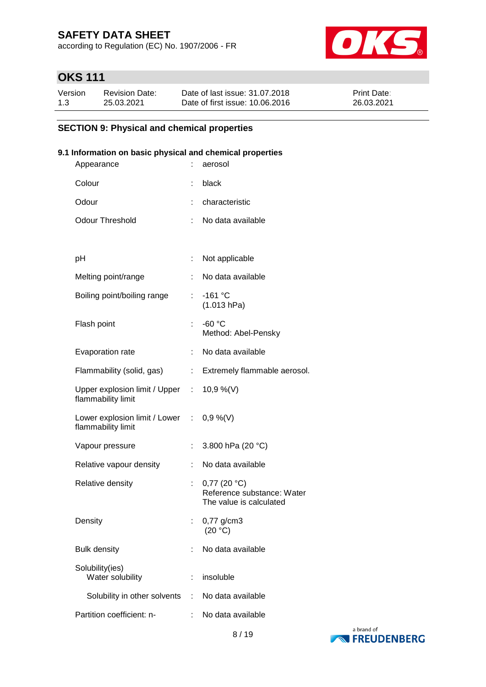according to Regulation (EC) No. 1907/2006 - FR



# **OKS 111**

| Version | <b>Revision Date:</b> | Date of last issue: 31.07.2018  | <b>Print Date:</b> |
|---------|-----------------------|---------------------------------|--------------------|
| 1.3     | 25.03.2021            | Date of first issue: 10.06.2016 | 26.03.2021         |

## **SECTION 9: Physical and chemical properties**

### **9.1 Information on basic physical and chemical properties**

| Appearance                                                         |                  | aerosol                                                                 |
|--------------------------------------------------------------------|------------------|-------------------------------------------------------------------------|
| Colour                                                             |                  | black                                                                   |
| Odour                                                              |                  | characteristic                                                          |
| <b>Odour Threshold</b>                                             | ÷.               | No data available                                                       |
|                                                                    |                  |                                                                         |
| рH                                                                 |                  | Not applicable                                                          |
| Melting point/range                                                | t.               | No data available                                                       |
| Boiling point/boiling range                                        | t.               | $-161$ °C<br>(1.013 hPa)                                                |
| Flash point                                                        | t.               | $-60 °C$<br>Method: Abel-Pensky                                         |
| Evaporation rate                                                   |                  | No data available                                                       |
| Flammability (solid, gas)                                          | $\mathbb{Z}^n$ . | Extremely flammable aerosol.                                            |
| Upper explosion limit / Upper : $10,9\%$ (V)<br>flammability limit |                  |                                                                         |
| Lower explosion limit / Lower : 0,9 %(V)<br>flammability limit     |                  |                                                                         |
| Vapour pressure                                                    | t.               | 3.800 hPa (20 °C)                                                       |
| Relative vapour density                                            |                  | No data available                                                       |
| Relative density                                                   |                  | $0,77$ (20 °C)<br>Reference substance: Water<br>The value is calculated |
| Density                                                            |                  | $0,77$ g/cm3<br>(20 °C)                                                 |
| <b>Bulk density</b>                                                |                  | No data available                                                       |
| Solubility(ies)<br>Water solubility                                |                  | insoluble                                                               |
| Solubility in other solvents :                                     |                  | No data available                                                       |
| Partition coefficient: n-                                          |                  | No data available                                                       |

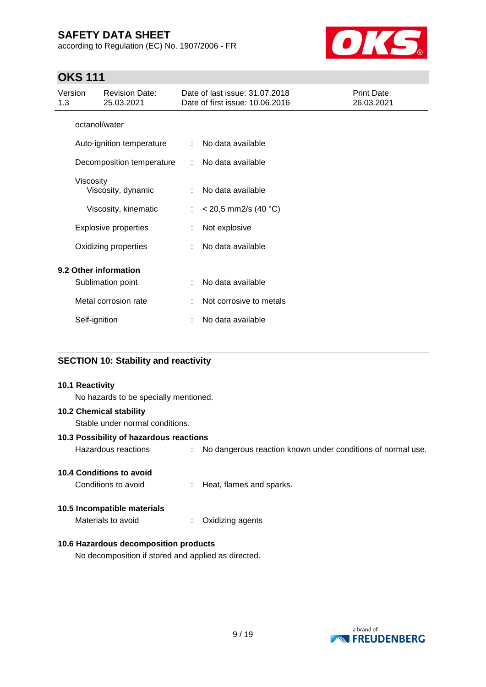according to Regulation (EC) No. 1907/2006 - FR



## **OKS 111**

| Version<br>1.3 | <b>Revision Date:</b><br>25.03.2021        |    | Date of last issue: 31.07.2018<br>Date of first issue: 10.06.2016 | Print Date:<br>26.03.2021 |
|----------------|--------------------------------------------|----|-------------------------------------------------------------------|---------------------------|
|                | octanol/water                              |    |                                                                   |                           |
|                | Auto-ignition temperature                  | ÷  | No data available                                                 |                           |
|                | Decomposition temperature                  | ÷  | No data available                                                 |                           |
|                | Viscosity<br>Viscosity, dynamic            | ÷  | No data available                                                 |                           |
|                | Viscosity, kinematic                       | ÷. | $<$ 20,5 mm2/s (40 °C)                                            |                           |
|                | <b>Explosive properties</b>                |    | Not explosive                                                     |                           |
|                | Oxidizing properties                       |    | No data available                                                 |                           |
|                | 9.2 Other information<br>Sublimation point |    | No data available                                                 |                           |
|                | Metal corrosion rate                       |    | Not corrosive to metals                                           |                           |
|                | Self-ignition                              |    | No data available                                                 |                           |

### **SECTION 10: Stability and reactivity**

### **10.1 Reactivity**

No hazards to be specially mentioned.

### **10.2 Chemical stability**

Stable under normal conditions.

#### **10.3 Possibility of hazardous reactions**

Hazardous reactions : No dangerous reaction known under conditions of normal use.

### **10.4 Conditions to avoid**

Conditions to avoid : Heat, flames and sparks.

#### **10.5 Incompatible materials**

Materials to avoid : Oxidizing agents

### **10.6 Hazardous decomposition products**

No decomposition if stored and applied as directed.

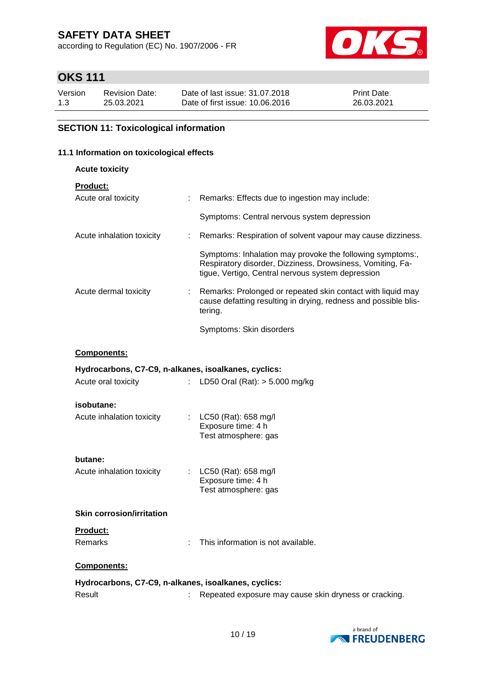according to Regulation (EC) No. 1907/2006 - FR



# **OKS 111**

| Version | <b>Revision Date:</b> | Date of last issue: 31.07.2018  | <b>Print Date:</b> |
|---------|-----------------------|---------------------------------|--------------------|
| 1.3     | 25.03.2021            | Date of first issue: 10.06.2016 | 26.03.2021         |

## **SECTION 11: Toxicological information**

## **11.1 Information on toxicological effects**

**Acute toxicity**

|--|

| Acute oral toxicity                                  |                           | Remarks: Effects due to ingestion may include:                                                                                                                               |
|------------------------------------------------------|---------------------------|------------------------------------------------------------------------------------------------------------------------------------------------------------------------------|
|                                                      |                           | Symptoms: Central nervous system depression                                                                                                                                  |
| Acute inhalation toxicity                            | ÷.                        | Remarks: Respiration of solvent vapour may cause dizziness.                                                                                                                  |
|                                                      |                           | Symptoms: Inhalation may provoke the following symptoms:,<br>Respiratory disorder, Dizziness, Drowsiness, Vomiting, Fa-<br>tigue, Vertigo, Central nervous system depression |
| Acute dermal toxicity                                |                           | Remarks: Prolonged or repeated skin contact with liquid may<br>cause defatting resulting in drying, redness and possible blis-<br>tering.                                    |
|                                                      |                           | Symptoms: Skin disorders                                                                                                                                                     |
| Components:                                          |                           |                                                                                                                                                                              |
| Hydrocarbons, C7-C9, n-alkanes, isoalkanes, cyclics: |                           |                                                                                                                                                                              |
| Acute oral toxicity                                  |                           | LD50 Oral (Rat): $> 5.000$ mg/kg                                                                                                                                             |
| isobutane:                                           |                           |                                                                                                                                                                              |
| Acute inhalation toxicity                            | $\mathbb{R}^{\mathbb{Z}}$ | LC50 (Rat): 658 mg/l<br>Exposure time: 4 h<br>Test atmosphere: gas                                                                                                           |
| butane:                                              |                           |                                                                                                                                                                              |
| Acute inhalation toxicity                            | $\mathbb{Z}^{\mathbb{Z}}$ | LC50 (Rat): 658 mg/l<br>Exposure time: 4 h<br>Test atmosphere: gas                                                                                                           |
| <b>Skin corrosion/irritation</b>                     |                           |                                                                                                                                                                              |
| <b>Product:</b>                                      |                           |                                                                                                                                                                              |
| Remarks                                              |                           | This information is not available.                                                                                                                                           |
| Components:                                          |                           |                                                                                                                                                                              |
| Hydrocarbons, C7-C9, n-alkanes, isoalkanes, cyclics: |                           |                                                                                                                                                                              |
| Result                                               |                           | Repeated exposure may cause skin dryness or cracking.                                                                                                                        |

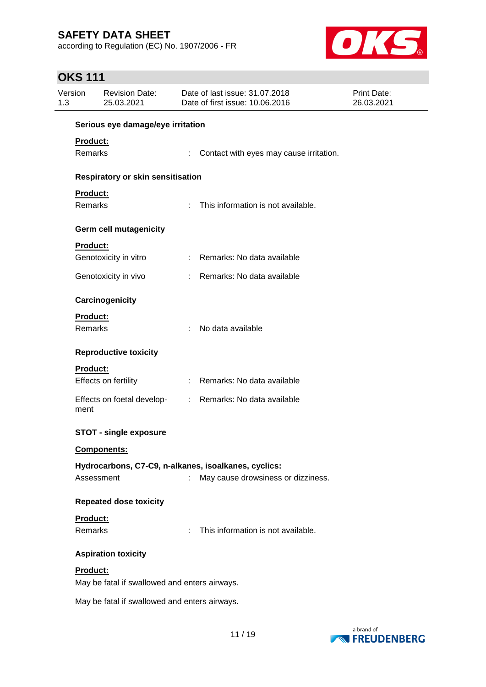according to Regulation (EC) No. 1907/2006 - FR



## **OKS 111**

| Version<br>1.3             | <b>Revision Date:</b><br>Date of last issue: 31.07.2018<br>25.03.2021<br>Date of first issue: 10.06.2016 |                                                           | Print Date:<br>26.03.2021 |  |  |
|----------------------------|----------------------------------------------------------------------------------------------------------|-----------------------------------------------------------|---------------------------|--|--|
|                            | Serious eye damage/eye irritation                                                                        |                                                           |                           |  |  |
| Product:<br>Remarks        |                                                                                                          | Contact with eyes may cause irritation.                   |                           |  |  |
|                            | <b>Respiratory or skin sensitisation</b>                                                                 |                                                           |                           |  |  |
| Product:                   |                                                                                                          |                                                           |                           |  |  |
| <b>Remarks</b>             |                                                                                                          | This information is not available.<br>÷.                  |                           |  |  |
|                            | <b>Germ cell mutagenicity</b>                                                                            |                                                           |                           |  |  |
| <b>Product:</b>            |                                                                                                          |                                                           |                           |  |  |
|                            | Genotoxicity in vitro                                                                                    | : Remarks: No data available                              |                           |  |  |
|                            | Genotoxicity in vivo                                                                                     | Remarks: No data available                                |                           |  |  |
|                            | Carcinogenicity                                                                                          |                                                           |                           |  |  |
| <b>Product:</b><br>Remarks |                                                                                                          | No data available<br>÷                                    |                           |  |  |
|                            | <b>Reproductive toxicity</b>                                                                             |                                                           |                           |  |  |
| <b>Product:</b>            | Effects on fertility                                                                                     | Remarks: No data available<br>$\mathbb{Z}^{\mathbb{Z}^n}$ |                           |  |  |
| ment                       | Effects on foetal develop-                                                                               | : Remarks: No data available                              |                           |  |  |
|                            | <b>STOT - single exposure</b>                                                                            |                                                           |                           |  |  |
|                            | <b>Components:</b>                                                                                       |                                                           |                           |  |  |
|                            |                                                                                                          | Hydrocarbons, C7-C9, n-alkanes, isoalkanes, cyclics:      |                           |  |  |
|                            | Assessment                                                                                               | May cause drowsiness or dizziness.                        |                           |  |  |
|                            | <b>Repeated dose toxicity</b>                                                                            |                                                           |                           |  |  |
| <b>Product:</b>            |                                                                                                          |                                                           |                           |  |  |
| Remarks                    |                                                                                                          | This information is not available.                        |                           |  |  |
|                            | <b>Aspiration toxicity</b>                                                                               |                                                           |                           |  |  |
| Product:                   | May be fatal if swallowed and enters airways.                                                            |                                                           |                           |  |  |
|                            | May be fatal if swallowed and enters airways.                                                            |                                                           |                           |  |  |

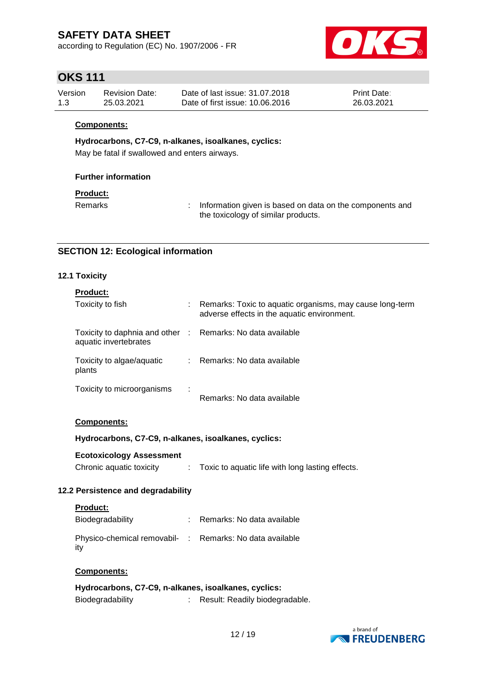according to Regulation (EC) No. 1907/2006 - FR



## **OKS 111**

| Version | Revision Date: | Date of last issue: 31,07,2018  | <b>Print Date:</b> |
|---------|----------------|---------------------------------|--------------------|
| 1.3     | 25.03.2021     | Date of first issue: 10.06.2016 | 26.03.2021         |

### **Components:**

### **Hydrocarbons, C7-C9, n-alkanes, isoalkanes, cyclics:**

May be fatal if swallowed and enters airways.

### **Further information**

### **Product:**

Remarks : Information given is based on data on the components and the toxicology of similar products.

### **SECTION 12: Ecological information**

### **12.1 Toxicity**

| <b>Product:</b>                                                                     |                                                                                                           |
|-------------------------------------------------------------------------------------|-----------------------------------------------------------------------------------------------------------|
| Toxicity to fish                                                                    | : Remarks: Toxic to aquatic organisms, may cause long-term<br>adverse effects in the aquatic environment. |
| Toxicity to daphnia and other : Remarks: No data available<br>aquatic invertebrates |                                                                                                           |
| Toxicity to algae/aquatic<br>plants                                                 | : Remarks: No data available                                                                              |
| Toxicity to microorganisms                                                          | Remarks: No data available                                                                                |

### **Components:**

**Hydrocarbons, C7-C9, n-alkanes, isoalkanes, cyclics:**

**Ecotoxicology Assessment** Chronic aquatic toxicity : Toxic to aquatic life with long lasting effects.

### **12.2 Persistence and degradability**

### **Product:**

| Biodegradability                                                | Remarks: No data available |
|-----------------------------------------------------------------|----------------------------|
| Physico-chemical removabil- : Remarks: No data available<br>ity |                            |

### **Components:**

| Hydrocarbons, C7-C9, n-alkanes, isoalkanes, cyclics: |                                |
|------------------------------------------------------|--------------------------------|
| Biodegradability                                     | Result: Readily biodegradable. |

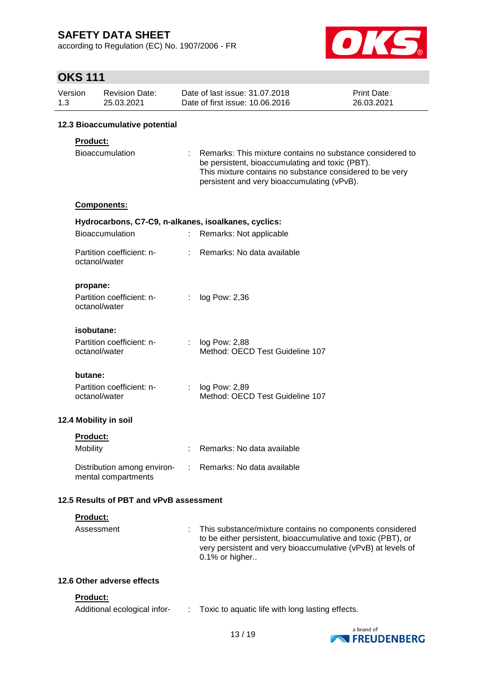according to Regulation (EC) No. 1907/2006 - FR



# **OKS 111**

| Version<br>1.3  | <b>Revision Date:</b><br>25.03.2021                |    | Date of last issue: 31.07.2018<br>Date of first issue: 10.06.2016                                                                                                                                                       | Print Date:<br>26.03.2021 |
|-----------------|----------------------------------------------------|----|-------------------------------------------------------------------------------------------------------------------------------------------------------------------------------------------------------------------------|---------------------------|
|                 | 12.3 Bioaccumulative potential                     |    |                                                                                                                                                                                                                         |                           |
| Product:        |                                                    |    |                                                                                                                                                                                                                         |                           |
|                 | Bioaccumulation                                    | ÷. | Remarks: This mixture contains no substance considered to<br>be persistent, bioaccumulating and toxic (PBT).<br>This mixture contains no substance considered to be very<br>persistent and very bioaccumulating (vPvB). |                           |
|                 | Components:                                        |    |                                                                                                                                                                                                                         |                           |
|                 |                                                    |    | Hydrocarbons, C7-C9, n-alkanes, isoalkanes, cyclics:                                                                                                                                                                    |                           |
|                 | <b>Bioaccumulation</b>                             |    | Remarks: Not applicable                                                                                                                                                                                                 |                           |
|                 | Partition coefficient: n-<br>octanol/water         | ÷  | Remarks: No data available                                                                                                                                                                                              |                           |
| propane:        |                                                    |    |                                                                                                                                                                                                                         |                           |
|                 | Partition coefficient: n-<br>octanol/water         | ÷  | log Pow: 2,36                                                                                                                                                                                                           |                           |
|                 | isobutane:                                         |    |                                                                                                                                                                                                                         |                           |
|                 | Partition coefficient: n-<br>octanol/water         |    | log Pow: 2,88<br>Method: OECD Test Guideline 107                                                                                                                                                                        |                           |
| butane:         |                                                    |    |                                                                                                                                                                                                                         |                           |
|                 | Partition coefficient: n-<br>octanol/water         |    | log Pow: 2,89<br>Method: OECD Test Guideline 107                                                                                                                                                                        |                           |
|                 | 12.4 Mobility in soil                              |    |                                                                                                                                                                                                                         |                           |
| <b>Product:</b> |                                                    |    |                                                                                                                                                                                                                         |                           |
| Mobility        |                                                    |    | Remarks: No data available                                                                                                                                                                                              |                           |
|                 | Distribution among environ-<br>mental compartments |    | Remarks: No data available                                                                                                                                                                                              |                           |
|                 | 12.5 Results of PBT and vPvB assessment            |    |                                                                                                                                                                                                                         |                           |
| Product:        |                                                    |    |                                                                                                                                                                                                                         |                           |
|                 | Assessment                                         |    | This substance/mixture contains no components considered<br>to be either persistent, bioaccumulative and toxic (PBT), or<br>very persistent and very bioaccumulative (vPvB) at levels of<br>0.1% or higher              |                           |
|                 | 12.6 Other adverse effects                         |    |                                                                                                                                                                                                                         |                           |
| Product:        |                                                    |    |                                                                                                                                                                                                                         |                           |



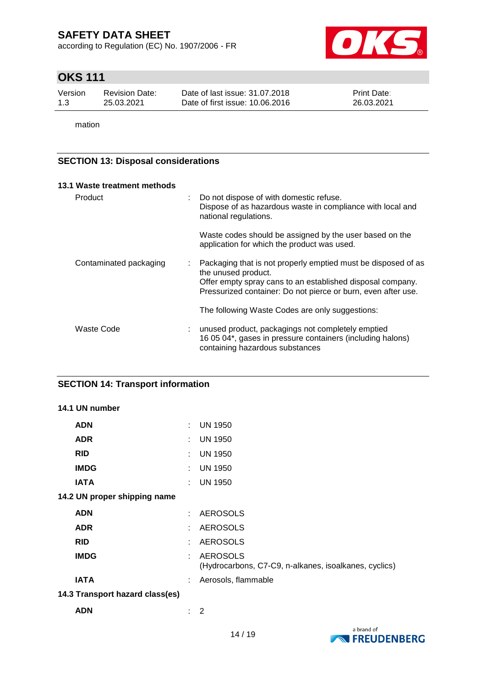according to Regulation (EC) No. 1907/2006 - FR



# **OKS 111**

| Version | <b>Revision Date:</b> | Date of last issue: 31.07.2018  | <b>Print Date:</b> |
|---------|-----------------------|---------------------------------|--------------------|
| 1.3     | 25.03.2021            | Date of first issue: 10.06.2016 | 26.03.2021         |

mation

### **SECTION 13: Disposal considerations**

| 13.1 Waste treatment methods |   |                                                                                                                                                                                                                     |
|------------------------------|---|---------------------------------------------------------------------------------------------------------------------------------------------------------------------------------------------------------------------|
| Product                      | ÷ | Do not dispose of with domestic refuse.<br>Dispose of as hazardous waste in compliance with local and<br>national regulations.                                                                                      |
|                              |   | Waste codes should be assigned by the user based on the<br>application for which the product was used.                                                                                                              |
| Contaminated packaging       |   | Packaging that is not properly emptied must be disposed of as<br>the unused product.<br>Offer empty spray cans to an established disposal company.<br>Pressurized container: Do not pierce or burn, even after use. |
|                              |   | The following Waste Codes are only suggestions:                                                                                                                                                                     |
| Waste Code                   | ÷ | unused product, packagings not completely emptied<br>16 05 04*, gases in pressure containers (including halons)<br>containing hazardous substances                                                                  |

## **SECTION 14: Transport information**

| 14.1 UN number                  |    |                                                                          |
|---------------------------------|----|--------------------------------------------------------------------------|
| <b>ADN</b>                      |    | $:$ UN 1950                                                              |
| <b>ADR</b>                      | ÷. | <b>UN 1950</b>                                                           |
| <b>RID</b>                      | t. | <b>UN 1950</b>                                                           |
| <b>IMDG</b>                     | t. | <b>UN 1950</b>                                                           |
| <b>IATA</b>                     | ÷. | <b>UN 1950</b>                                                           |
| 14.2 UN proper shipping name    |    |                                                                          |
| <b>ADN</b>                      | ÷  | <b>AEROSOLS</b>                                                          |
| <b>ADR</b>                      | ÷  | <b>AEROSOLS</b>                                                          |
| <b>RID</b>                      | ÷  | <b>AEROSOLS</b>                                                          |
| <b>IMDG</b>                     | ÷  | <b>AEROSOLS</b><br>(Hydrocarbons, C7-C9, n-alkanes, isoalkanes, cyclics) |
| <b>IATA</b>                     | ÷  | Aerosols, flammable                                                      |
| 14.3 Transport hazard class(es) |    |                                                                          |
| <b>ADN</b>                      | ÷  | 2                                                                        |

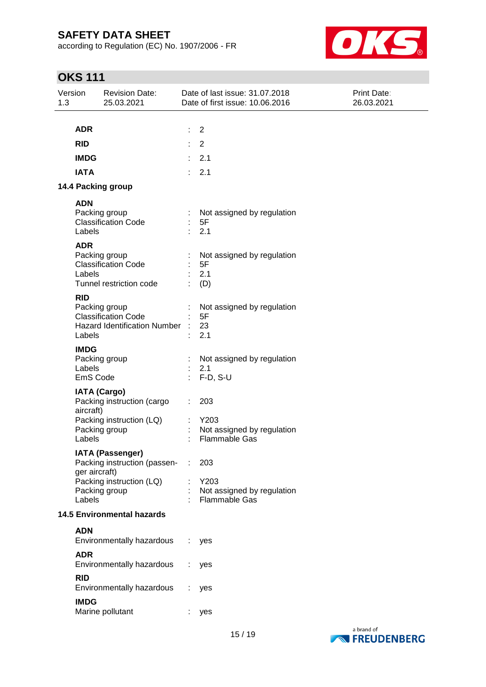according to Regulation (EC) No. 1907/2006 - FR



# **OKS 111**

| 1.3 | Version                           | <b>Revision Date:</b><br>25.03.2021                          |                           | Date of last issue: 31.07.2018<br>Date of first issue: 10.06.2016 | Print Date:<br>26.03.2021 |  |
|-----|-----------------------------------|--------------------------------------------------------------|---------------------------|-------------------------------------------------------------------|---------------------------|--|
|     |                                   |                                                              |                           |                                                                   |                           |  |
|     | <b>ADR</b>                        |                                                              | $\mathbb{R}^{\mathbb{Z}}$ | $\overline{2}$                                                    |                           |  |
|     | <b>RID</b>                        |                                                              |                           | 2                                                                 |                           |  |
|     | <b>IMDG</b>                       |                                                              | ÷.                        | 2.1                                                               |                           |  |
|     | <b>IATA</b>                       |                                                              |                           | 2.1                                                               |                           |  |
|     |                                   | 14.4 Packing group                                           |                           |                                                                   |                           |  |
|     | <b>ADN</b>                        |                                                              |                           |                                                                   |                           |  |
|     |                                   | Packing group<br><b>Classification Code</b>                  | ÷.                        | Not assigned by regulation<br>5F                                  |                           |  |
|     | Labels                            |                                                              |                           | 2.1                                                               |                           |  |
|     | <b>ADR</b>                        |                                                              |                           |                                                                   |                           |  |
|     |                                   | Packing group                                                |                           | Not assigned by regulation<br>5F                                  |                           |  |
|     | Labels                            | <b>Classification Code</b>                                   |                           | 2.1                                                               |                           |  |
|     |                                   | Tunnel restriction code                                      |                           | (D)                                                               |                           |  |
|     | <b>RID</b>                        |                                                              |                           |                                                                   |                           |  |
|     |                                   | Packing group                                                |                           | Not assigned by regulation                                        |                           |  |
|     |                                   | <b>Classification Code</b><br>Hazard Identification Number : |                           | 5F<br>23                                                          |                           |  |
|     | Labels                            |                                                              |                           | 2.1                                                               |                           |  |
|     | <b>IMDG</b>                       |                                                              |                           |                                                                   |                           |  |
|     | Labels                            | Packing group                                                | $\mathbb{Z}^{n+1}$        | Not assigned by regulation                                        |                           |  |
|     | EmS Code                          |                                                              |                           | 2.1<br>F-D, S-U                                                   |                           |  |
|     |                                   | <b>IATA (Cargo)</b>                                          |                           |                                                                   |                           |  |
|     |                                   | Packing instruction (cargo                                   |                           | 203                                                               |                           |  |
|     | aircraft)                         |                                                              |                           |                                                                   |                           |  |
|     |                                   | Packing instruction (LQ)<br>Packing group                    |                           | Y203<br>Not assigned by regulation                                |                           |  |
|     | Labels                            |                                                              |                           | <b>Flammable Gas</b>                                              |                           |  |
|     |                                   | <b>IATA (Passenger)</b>                                      |                           |                                                                   |                           |  |
|     |                                   | Packing instruction (passen-                                 | ÷                         | 203                                                               |                           |  |
|     | ger aircraft)                     | Packing instruction (LQ)                                     |                           | Y203                                                              |                           |  |
|     |                                   | Packing group                                                |                           | Not assigned by regulation                                        |                           |  |
|     | Labels                            |                                                              |                           | <b>Flammable Gas</b>                                              |                           |  |
|     | <b>14.5 Environmental hazards</b> |                                                              |                           |                                                                   |                           |  |
|     | <b>ADN</b>                        | Environmentally hazardous                                    |                           | yes                                                               |                           |  |
|     | <b>ADR</b>                        | Environmentally hazardous                                    |                           | yes                                                               |                           |  |
|     | <b>RID</b>                        | Environmentally hazardous                                    |                           | yes                                                               |                           |  |
|     | <b>IMDG</b>                       | Marine pollutant                                             |                           | yes                                                               |                           |  |

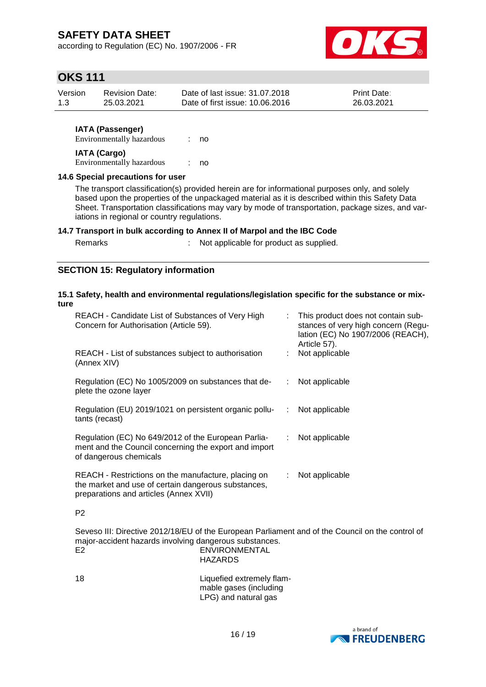according to Regulation (EC) No. 1907/2006 - FR



## **OKS 111**

| Version | <b>Revision Date:</b> | Date of last issue: 31.07.2018  | <b>Print Date:</b> |
|---------|-----------------------|---------------------------------|--------------------|
| 1.3     | 25.03.2021            | Date of first issue: 10.06.2016 | 26.03.2021         |

### **IATA (Passenger)**

Environmentally hazardous : no **IATA (Cargo)**

Environmentally hazardous : no

### **14.6 Special precautions for user**

The transport classification(s) provided herein are for informational purposes only, and solely based upon the properties of the unpackaged material as it is described within this Safety Data Sheet. Transportation classifications may vary by mode of transportation, package sizes, and variations in regional or country regulations.

### **14.7 Transport in bulk according to Annex II of Marpol and the IBC Code**

Remarks : Not applicable for product as supplied.

### **SECTION 15: Regulatory information**

#### **15.1 Safety, health and environmental regulations/legislation specific for the substance or mixture**

| REACH - Candidate List of Substances of Very High<br>Concern for Authorisation (Article 59).                                                         |    | This product does not contain sub-<br>stances of very high concern (Regu-<br>lation (EC) No 1907/2006 (REACH),<br>Article 57). |
|------------------------------------------------------------------------------------------------------------------------------------------------------|----|--------------------------------------------------------------------------------------------------------------------------------|
| REACH - List of substances subject to authorisation<br>(Annex XIV)                                                                                   |    | Not applicable                                                                                                                 |
| Regulation (EC) No 1005/2009 on substances that de-<br>plete the ozone layer                                                                         |    | : Not applicable                                                                                                               |
| Regulation (EU) 2019/1021 on persistent organic pollu-<br>tants (recast)                                                                             | ÷. | Not applicable                                                                                                                 |
| Regulation (EC) No 649/2012 of the European Parlia-<br>ment and the Council concerning the export and import<br>of dangerous chemicals               | ÷. | Not applicable                                                                                                                 |
| REACH - Restrictions on the manufacture, placing on<br>the market and use of certain dangerous substances,<br>preparations and articles (Annex XVII) |    | Not applicable                                                                                                                 |
| P <sub>2</sub>                                                                                                                                       |    |                                                                                                                                |

Seveso III: Directive 2012/18/EU of the European Parliament and of the Council on the control of major-accident hazards involving dangerous substances.<br>E2 ENVIRONMENTAL **ENVIRONMENTAL** HAZARDS

| 18 | Liquefied extremely flam- |
|----|---------------------------|
|    | mable gases (including    |
|    | LPG) and natural gas      |

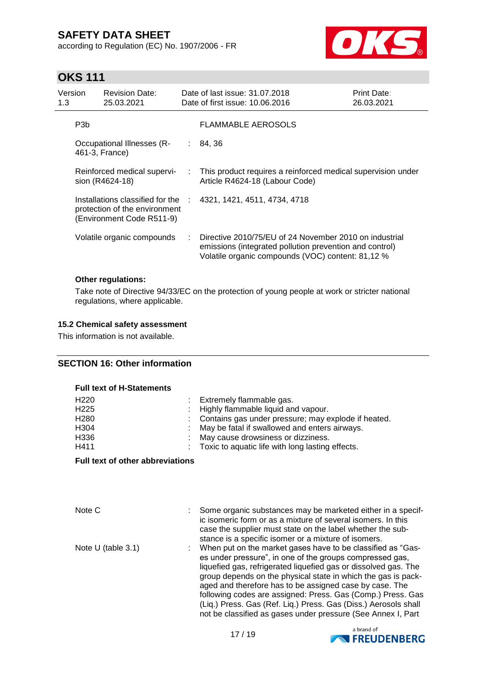according to Regulation (EC) No. 1907/2006 - FR



## **OKS 111**

| Version<br>1.3 |     | <b>Revision Date:</b><br>25.03.2021                                                            |    | Date of last issue: 31.07.2018<br>Date of first issue: 10.06.2016                                                                                                      | <b>Print Date:</b><br>26.03.2021 |
|----------------|-----|------------------------------------------------------------------------------------------------|----|------------------------------------------------------------------------------------------------------------------------------------------------------------------------|----------------------------------|
|                | P3b |                                                                                                |    | <b>FLAMMABLE AEROSOLS</b>                                                                                                                                              |                                  |
|                |     | Occupational Illnesses (R-<br>461-3, France)                                                   |    | 84, 36                                                                                                                                                                 |                                  |
|                |     | Reinforced medical supervi-<br>sion (R4624-18)                                                 |    | This product requires a reinforced medical supervision under<br>Article R4624-18 (Labour Code)                                                                         |                                  |
|                |     | Installations classified for the<br>protection of the environment<br>(Environment Code R511-9) | ÷. | 4321, 1421, 4511, 4734, 4718                                                                                                                                           |                                  |
|                |     | Volatile organic compounds                                                                     |    | Directive 2010/75/EU of 24 November 2010 on industrial<br>emissions (integrated pollution prevention and control)<br>Volatile organic compounds (VOC) content: 81,12 % |                                  |

#### **Other regulations:**

Take note of Directive 94/33/EC on the protection of young people at work or stricter national regulations, where applicable.

### **15.2 Chemical safety assessment**

This information is not available.

### **SECTION 16: Other information**

#### **Full text of H-Statements**

| H <sub>220</sub> | Extremely flammable gas.                              |
|------------------|-------------------------------------------------------|
| H <sub>225</sub> | : Highly flammable liquid and vapour.                 |
| H <sub>280</sub> | : Contains gas under pressure; may explode if heated. |
| H <sub>304</sub> | : May be fatal if swallowed and enters airways.       |
| H336             | : May cause drowsiness or dizziness.                  |
| H411             | : Toxic to aquatic life with long lasting effects.    |

### **Full text of other abbreviations**

| Note C               | Some organic substances may be marketed either in a specif-<br>ic isomeric form or as a mixture of several isomers. In this<br>case the supplier must state on the label whether the sub-<br>stance is a specific isomer or a mixture of isomers.                                                                                                                                                                                                                                                                        |
|----------------------|--------------------------------------------------------------------------------------------------------------------------------------------------------------------------------------------------------------------------------------------------------------------------------------------------------------------------------------------------------------------------------------------------------------------------------------------------------------------------------------------------------------------------|
| Note $U$ (table 3.1) | When put on the market gases have to be classified as "Gas-<br>es under pressure", in one of the groups compressed gas,<br>liquefied gas, refrigerated liquefied gas or dissolved gas. The<br>group depends on the physical state in which the gas is pack-<br>aged and therefore has to be assigned case by case. The<br>following codes are assigned: Press. Gas (Comp.) Press. Gas<br>(Liq.) Press. Gas (Ref. Liq.) Press. Gas (Diss.) Aerosols shall<br>not be classified as gases under pressure (See Annex I, Part |

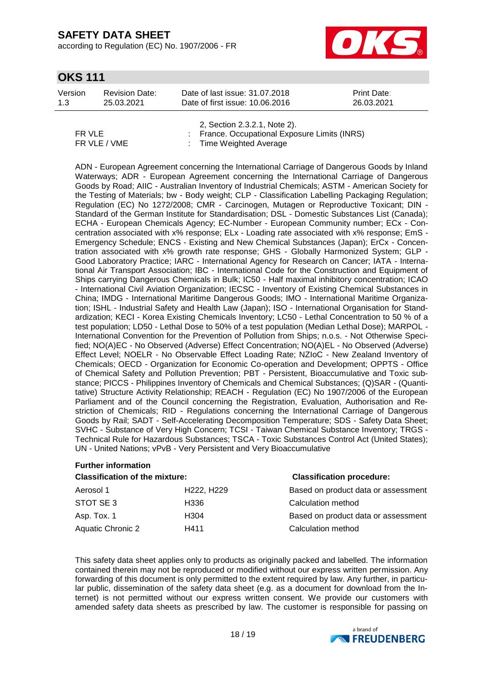**Further information**

according to Regulation (EC) No. 1907/2006 - FR



## **OKS 111**

| Date of last issue: 31.07.2018<br>Version<br><b>Print Date:</b><br>Revision Date:<br>Date of first issue: 10.06.2016<br>26.03.2021<br>1.3<br>25.03.2021 |  |
|---------------------------------------------------------------------------------------------------------------------------------------------------------|--|
|---------------------------------------------------------------------------------------------------------------------------------------------------------|--|

|              | 2, Section 2.3.2.1, Note 2).                  |
|--------------|-----------------------------------------------|
| FR VLE       | : France. Occupational Exposure Limits (INRS) |
| FR VLE / VME | : Time Weighted Average                       |

ADN - European Agreement concerning the International Carriage of Dangerous Goods by Inland Waterways; ADR - European Agreement concerning the International Carriage of Dangerous Goods by Road; AIIC - Australian Inventory of Industrial Chemicals; ASTM - American Society for the Testing of Materials; bw - Body weight; CLP - Classification Labelling Packaging Regulation; Regulation (EC) No 1272/2008; CMR - Carcinogen, Mutagen or Reproductive Toxicant; DIN - Standard of the German Institute for Standardisation; DSL - Domestic Substances List (Canada); ECHA - European Chemicals Agency; EC-Number - European Community number; ECx - Concentration associated with x% response; ELx - Loading rate associated with x% response; EmS - Emergency Schedule; ENCS - Existing and New Chemical Substances (Japan); ErCx - Concentration associated with x% growth rate response; GHS - Globally Harmonized System; GLP - Good Laboratory Practice; IARC - International Agency for Research on Cancer; IATA - International Air Transport Association; IBC - International Code for the Construction and Equipment of Ships carrying Dangerous Chemicals in Bulk; IC50 - Half maximal inhibitory concentration; ICAO - International Civil Aviation Organization; IECSC - Inventory of Existing Chemical Substances in China; IMDG - International Maritime Dangerous Goods; IMO - International Maritime Organization; ISHL - Industrial Safety and Health Law (Japan); ISO - International Organisation for Standardization; KECI - Korea Existing Chemicals Inventory; LC50 - Lethal Concentration to 50 % of a test population; LD50 - Lethal Dose to 50% of a test population (Median Lethal Dose); MARPOL - International Convention for the Prevention of Pollution from Ships; n.o.s. - Not Otherwise Specified; NO(A)EC - No Observed (Adverse) Effect Concentration; NO(A)EL - No Observed (Adverse) Effect Level; NOELR - No Observable Effect Loading Rate; NZIoC - New Zealand Inventory of Chemicals; OECD - Organization for Economic Co-operation and Development; OPPTS - Office of Chemical Safety and Pollution Prevention; PBT - Persistent, Bioaccumulative and Toxic substance; PICCS - Philippines Inventory of Chemicals and Chemical Substances; (Q)SAR - (Quantitative) Structure Activity Relationship; REACH - Regulation (EC) No 1907/2006 of the European Parliament and of the Council concerning the Registration, Evaluation, Authorisation and Restriction of Chemicals; RID - Regulations concerning the International Carriage of Dangerous Goods by Rail; SADT - Self-Accelerating Decomposition Temperature; SDS - Safety Data Sheet; SVHC - Substance of Very High Concern; TCSI - Taiwan Chemical Substance Inventory; TRGS - Technical Rule for Hazardous Substances; TSCA - Toxic Substances Control Act (United States); UN - United Nations; vPvB - Very Persistent and Very Bioaccumulative

| T GILICI IIIOIIIIGUCHI                |                                     |                                     |
|---------------------------------------|-------------------------------------|-------------------------------------|
| <b>Classification of the mixture:</b> |                                     | <b>Classification procedure:</b>    |
| Aerosol 1                             | H <sub>222</sub> , H <sub>229</sub> | Based on product data or assessment |
| STOT SE 3                             | H336                                | Calculation method                  |
| Asp. Tox. 1                           | H304                                | Based on product data or assessment |
| Aquatic Chronic 2                     | H411                                | Calculation method                  |

This safety data sheet applies only to products as originally packed and labelled. The information contained therein may not be reproduced or modified without our express written permission. Any forwarding of this document is only permitted to the extent required by law. Any further, in particular public, dissemination of the safety data sheet (e.g. as a document for download from the Internet) is not permitted without our express written consent. We provide our customers with amended safety data sheets as prescribed by law. The customer is responsible for passing on